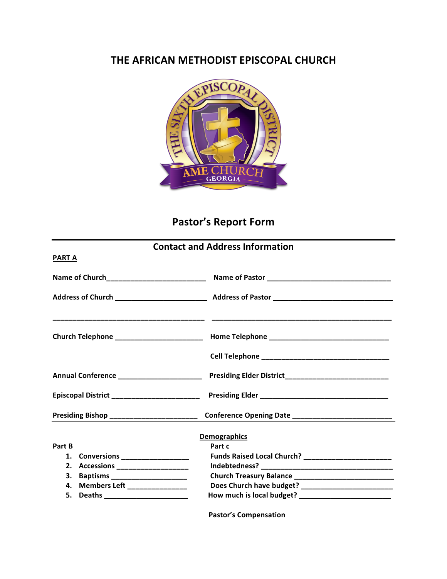## **THE AFRICAN METHODIST EPISCOPAL CHURCH**



## Pastor's Report Form

## **Contact and Address Information**

**PART A**

| Presiding Bishop _________________________ |                     |  |  |  |
|--------------------------------------------|---------------------|--|--|--|
|                                            | <b>Demographics</b> |  |  |  |
| Part B                                     | Part c              |  |  |  |
| 1. Conversions ___________________         |                     |  |  |  |
| 2. Accessions ______________________       |                     |  |  |  |
| 3. Baptisms _______________________        |                     |  |  |  |
| 4. Members Left ________________           |                     |  |  |  |
| 5. Deaths _______________________          |                     |  |  |  |
|                                            |                     |  |  |  |

**Pastor's Compensation**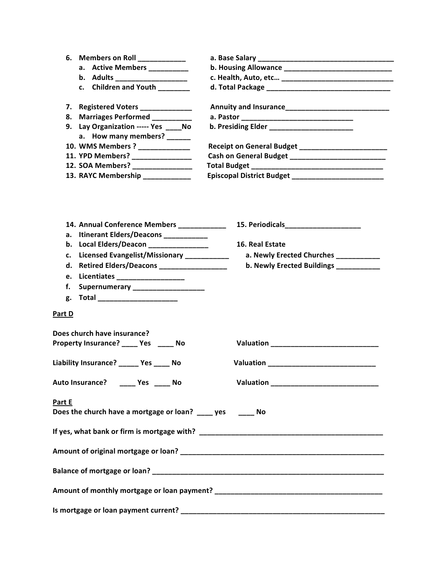|               | 6. Members on Roll ___________                             |                                                         |  |  |  |  |
|---------------|------------------------------------------------------------|---------------------------------------------------------|--|--|--|--|
|               | a. Active Members _________                                | b. Housing Allowance _________________________________  |  |  |  |  |
|               | b. Adults _____________________                            |                                                         |  |  |  |  |
|               | c. Children and Youth ______                               |                                                         |  |  |  |  |
|               | 7. Registered Voters ____________                          |                                                         |  |  |  |  |
| 8.            | Marriages Performed _________                              |                                                         |  |  |  |  |
|               | 9. Lay Organization ----- Yes _____ No                     | b. Presiding Elder _______________________              |  |  |  |  |
|               | a. How many members?                                       |                                                         |  |  |  |  |
|               | 10. WMS Members ? _____________                            | Receipt on General Budget _________________________     |  |  |  |  |
|               | 11. YPD Members? _________________                         |                                                         |  |  |  |  |
|               | 12. SOA Members? ________________                          |                                                         |  |  |  |  |
|               | 13. RAYC Membership ____________                           | Episcopal District Budget _____________________________ |  |  |  |  |
|               |                                                            |                                                         |  |  |  |  |
|               | 14. Annual Conference Members ___________                  | 15. Periodicals____________________                     |  |  |  |  |
| а.            | Itinerant Elders/Deacons ___________                       |                                                         |  |  |  |  |
|               | b. Local Elders/Deacon _______________                     | 16. Real Estate                                         |  |  |  |  |
|               | c. Licensed Evangelist/Missionary ___________              | a. Newly Erected Churches __________                    |  |  |  |  |
| d.            | Retired Elders/Deacons _________________                   | b. Newly Erected Buildings __________                   |  |  |  |  |
|               | e. Licentiates ___________________                         |                                                         |  |  |  |  |
| f.            | Supernumerary ____________________                         |                                                         |  |  |  |  |
| g.            | Total ________________________                             |                                                         |  |  |  |  |
| <b>Part D</b> |                                                            |                                                         |  |  |  |  |
|               | Does church have insurance?                                |                                                         |  |  |  |  |
|               | Property Insurance? _____ Yes _____ No                     |                                                         |  |  |  |  |
|               | Liability Insurance? _____ Yes ____ No                     | Valuation Management Contractor Contractor              |  |  |  |  |
|               | Auto Insurance? _____ Yes _____ No                         |                                                         |  |  |  |  |
| Part E        |                                                            |                                                         |  |  |  |  |
|               | Does the church have a mortgage or loan? ____ yes _____ No |                                                         |  |  |  |  |
|               |                                                            |                                                         |  |  |  |  |
|               |                                                            |                                                         |  |  |  |  |
|               |                                                            |                                                         |  |  |  |  |
|               |                                                            |                                                         |  |  |  |  |
|               |                                                            |                                                         |  |  |  |  |